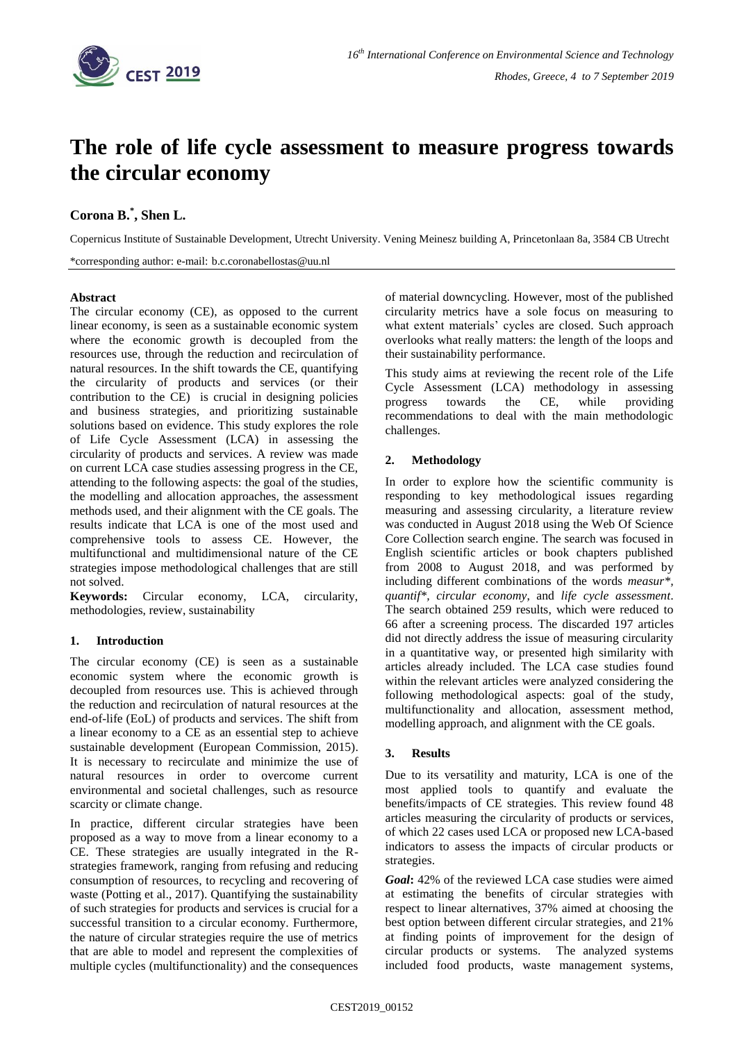

# **The role of life cycle assessment to measure progress towards the circular economy**

# **Corona B.\* , Shen L.**

Copernicus Institute of Sustainable Development, Utrecht University. Vening Meinesz building A, Princetonlaan 8a, 3584 CB Utrecht

\*corresponding author: e-mail: b.c.coronabellostas@uu.nl

## **Abstract**

The circular economy (CE), as opposed to the current linear economy, is seen as a sustainable economic system where the economic growth is decoupled from the resources use, through the reduction and recirculation of natural resources. In the shift towards the CE, quantifying the circularity of products and services (or their contribution to the CE) is crucial in designing policies and business strategies, and prioritizing sustainable solutions based on evidence. This study explores the role of Life Cycle Assessment (LCA) in assessing the circularity of products and services. A review was made on current LCA case studies assessing progress in the CE, attending to the following aspects: the goal of the studies, the modelling and allocation approaches, the assessment methods used, and their alignment with the CE goals. The results indicate that LCA is one of the most used and comprehensive tools to assess CE. However, the multifunctional and multidimensional nature of the CE strategies impose methodological challenges that are still not solved.

**Keywords:** Circular economy, LCA, circularity, methodologies, review, sustainability

## **1. Introduction**

The circular economy (CE) is seen as a sustainable economic system where the economic growth is decoupled from resources use. This is achieved through the reduction and recirculation of natural resources at the end-of-life (EoL) of products and services. The shift from a linear economy to a CE as an essential step to achieve sustainable development (European Commission, 2015). It is necessary to recirculate and minimize the use of natural resources in order to overcome current environmental and societal challenges, such as resource scarcity or climate change.

In practice, different circular strategies have been proposed as a way to move from a linear economy to a CE. These strategies are usually integrated in the Rstrategies framework, ranging from refusing and reducing consumption of resources, to recycling and recovering of waste (Potting et al., 2017). Quantifying the sustainability of such strategies for products and services is crucial for a successful transition to a circular economy. Furthermore, the nature of circular strategies require the use of metrics that are able to model and represent the complexities of multiple cycles (multifunctionality) and the consequences of material downcycling. However, most of the published circularity metrics have a sole focus on measuring to what extent materials' cycles are closed. Such approach overlooks what really matters: the length of the loops and their sustainability performance.

This study aims at reviewing the recent role of the Life Cycle Assessment (LCA) methodology in assessing progress towards the CE, while providing recommendations to deal with the main methodologic challenges.

## **2. Methodology**

In order to explore how the scientific community is responding to key methodological issues regarding measuring and assessing circularity, a literature review was conducted in August 2018 using the Web Of Science Core Collection search engine. The search was focused in English scientific articles or book chapters published from 2008 to August 2018, and was performed by including different combinations of the words *measur\*, quantif\*, circular economy*, and *life cycle assessment*. The search obtained 259 results, which were reduced to 66 after a screening process. The discarded 197 articles did not directly address the issue of measuring circularity in a quantitative way, or presented high similarity with articles already included. The LCA case studies found within the relevant articles were analyzed considering the following methodological aspects: goal of the study, multifunctionality and allocation, assessment method, modelling approach, and alignment with the CE goals.

## **3. Results**

Due to its versatility and maturity, LCA is one of the most applied tools to quantify and evaluate the benefits/impacts of CE strategies. This review found 48 articles measuring the circularity of products or services, of which 22 cases used LCA or proposed new LCA-based indicators to assess the impacts of circular products or strategies.

*Goal***:** 42% of the reviewed LCA case studies were aimed at estimating the benefits of circular strategies with respect to linear alternatives, 37% aimed at choosing the best option between different circular strategies, and 21% at finding points of improvement for the design of circular products or systems. The analyzed systems included food products, waste management systems,